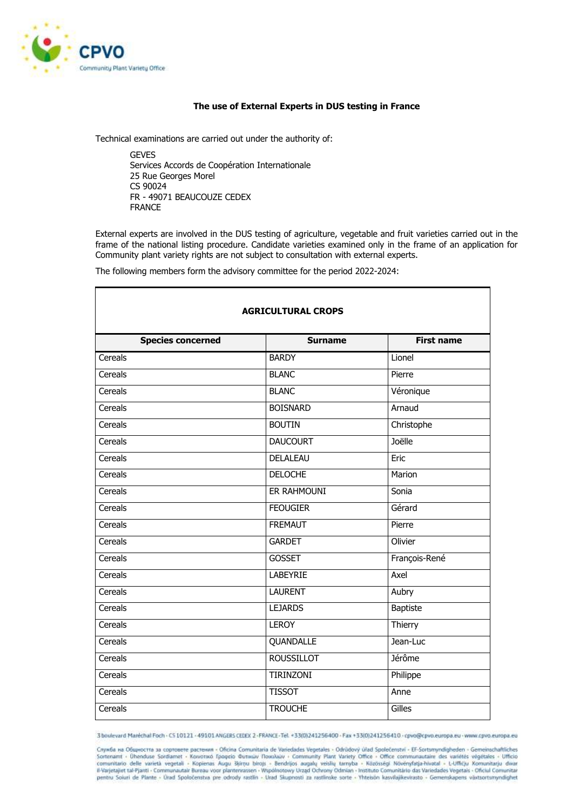

## **The use of External Experts in DUS testing in France**

Technical examinations are carried out under the authority of:

**GEVES** Services Accords de Coopération Internationale 25 Rue Georges Morel CS 90024 FR - 49071 BEAUCOUZE CEDEX FRANCE

External experts are involved in the DUS testing of agriculture, vegetable and fruit varieties carried out in the frame of the national listing procedure. Candidate varieties examined only in the frame of an application for Community plant variety rights are not subject to consultation with external experts.

The following members form the advisory committee for the period 2022-2024:

| <b>AGRICULTURAL CROPS</b> |                   |                   |
|---------------------------|-------------------|-------------------|
| <b>Species concerned</b>  | <b>Surname</b>    | <b>First name</b> |
| Cereals                   | <b>BARDY</b>      | Lionel            |
| Cereals                   | <b>BLANC</b>      | Pierre            |
| Cereals                   | <b>BLANC</b>      | Véronique         |
| Cereals                   | <b>BOISNARD</b>   | Arnaud            |
| Cereals                   | <b>BOUTIN</b>     | Christophe        |
| Cereals                   | <b>DAUCOURT</b>   | Joëlle            |
| Cereals                   | DELALEAU          | Eric              |
| Cereals                   | <b>DELOCHE</b>    | Marion            |
| Cereals                   | ER RAHMOUNI       | Sonia             |
| Cereals                   | <b>FEOUGIER</b>   | Gérard            |
| Cereals                   | <b>FREMAUT</b>    | Pierre            |
| Cereals                   | <b>GARDET</b>     | Olivier           |
| Cereals                   | <b>GOSSET</b>     | François-René     |
| Cereals                   | LABEYRIE          | Axel              |
| Cereals                   | <b>LAURENT</b>    | Aubry             |
| Cereals                   | <b>LEJARDS</b>    | Baptiste          |
| Cereals                   | <b>LEROY</b>      | Thierry           |
| Cereals                   | QUANDALLE         | Jean-Luc          |
| Cereals                   | <b>ROUSSILLOT</b> | <b>Jérôme</b>     |
| Cereals                   | <b>TIRINZONI</b>  | Philippe          |
| Cereals                   | <b>TISSOT</b>     | Anne              |
| Cereals                   | <b>TROUCHE</b>    | Gilles            |

3 boulevard Maréchal Foch - CS 10121 - 49101 ANGERS CEDEX 2 - FRANCE-Tel: +33(0)241256400 - Fax +33(0)241256410 - cpvo@cpvo.europa.eu - www.cpvo.europa.eu

Служба на Общността за сортовете растения - Oficina Comunitaria de Variedades Vegetales - Odrūdový úřad Společenství - EF-Sortsmyndigheden - Gemeinschaftliches Sortenamt - Ühenduse Sordiamet - Kouvorsoo Tpoppio Quruuluv Touckauv - Community Plant Variety Office - Office communistative des variétés végétales - Ufficio communitario delle varietà vegetali - Kopienas Augu Skirtu biro pentru Soiuri de Plante - Úrad Spoločenstva pre odrody rastlin - Urad Skupnosti za rastlinske sorte - Yhteisön kasvilajikevirasto - Gemenskapens växtsortsmyndighet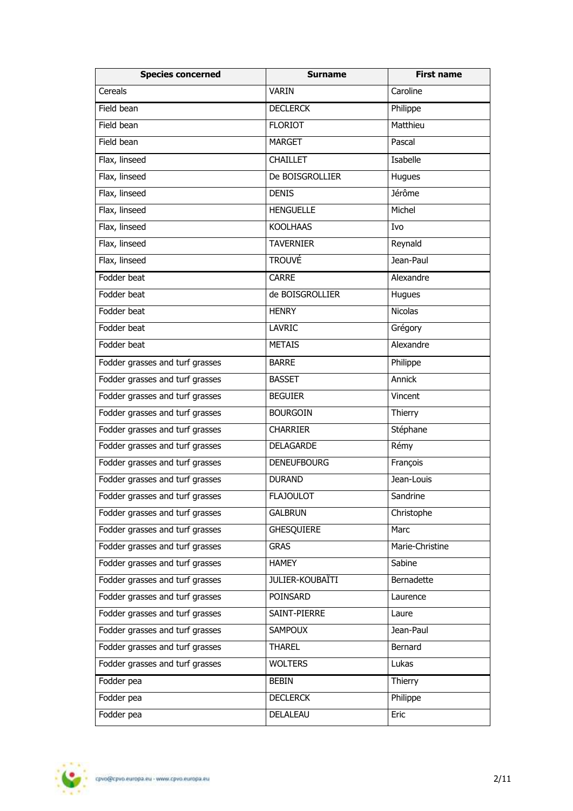| <b>Species concerned</b>        | <b>Surname</b>         | <b>First name</b> |
|---------------------------------|------------------------|-------------------|
| Cereals                         | <b>VARIN</b>           | Caroline          |
| Field bean                      | <b>DECLERCK</b>        | Philippe          |
| Field bean                      | <b>FLORIOT</b>         | Matthieu          |
| Field bean                      | <b>MARGET</b>          | Pascal            |
| Flax, linseed                   | <b>CHAILLET</b>        | Isabelle          |
| Flax, linseed                   | De BOISGROLLIER        | Hugues            |
| Flax, linseed                   | <b>DENIS</b>           | Jérôme            |
| Flax, linseed                   | <b>HENGUELLE</b>       | Michel            |
| Flax, linseed                   | <b>KOOLHAAS</b>        | Ivo               |
| Flax, linseed                   | <b>TAVERNIER</b>       | Reynald           |
| Flax, linseed                   | <b>TROUVÉ</b>          | Jean-Paul         |
| Fodder beat                     | <b>CARRE</b>           | Alexandre         |
| Fodder beat                     | de BOISGROLLIER        | Hugues            |
| Fodder beat                     | <b>HENRY</b>           | <b>Nicolas</b>    |
| Fodder beat                     | <b>LAVRIC</b>          | Grégory           |
| Fodder beat                     | <b>METAIS</b>          | Alexandre         |
| Fodder grasses and turf grasses | <b>BARRE</b>           | Philippe          |
| Fodder grasses and turf grasses | <b>BASSET</b>          | Annick            |
| Fodder grasses and turf grasses | <b>BEGUIER</b>         | Vincent           |
| Fodder grasses and turf grasses | <b>BOURGOIN</b>        | Thierry           |
| Fodder grasses and turf grasses | <b>CHARRIER</b>        | Stéphane          |
| Fodder grasses and turf grasses | DELAGARDE              | Rémy              |
| Fodder grasses and turf grasses | <b>DENEUFBOURG</b>     | François          |
| Fodder grasses and turf grasses | <b>DURAND</b>          | Jean-Louis        |
| Fodder grasses and turf grasses | <b>FLAJOULOT</b>       | Sandrine          |
| Fodder grasses and turf grasses | <b>GALBRUN</b>         | Christophe        |
| Fodder grasses and turf grasses | <b>GHESQUIERE</b>      | Marc              |
| Fodder grasses and turf grasses | <b>GRAS</b>            | Marie-Christine   |
| Fodder grasses and turf grasses | <b>HAMEY</b>           | Sabine            |
| Fodder grasses and turf grasses | <b>JULIER-KOUBAÏTI</b> | Bernadette        |
| Fodder grasses and turf grasses | POINSARD               | Laurence          |
| Fodder grasses and turf grasses | SAINT-PIERRE           | Laure             |
| Fodder grasses and turf grasses | <b>SAMPOUX</b>         | Jean-Paul         |
| Fodder grasses and turf grasses | <b>THAREL</b>          | Bernard           |
| Fodder grasses and turf grasses | <b>WOLTERS</b>         | Lukas             |
| Fodder pea                      | <b>BEBIN</b>           | Thierry           |
| Fodder pea                      | <b>DECLERCK</b>        | Philippe          |
| Fodder pea                      | DELALEAU               | Eric              |

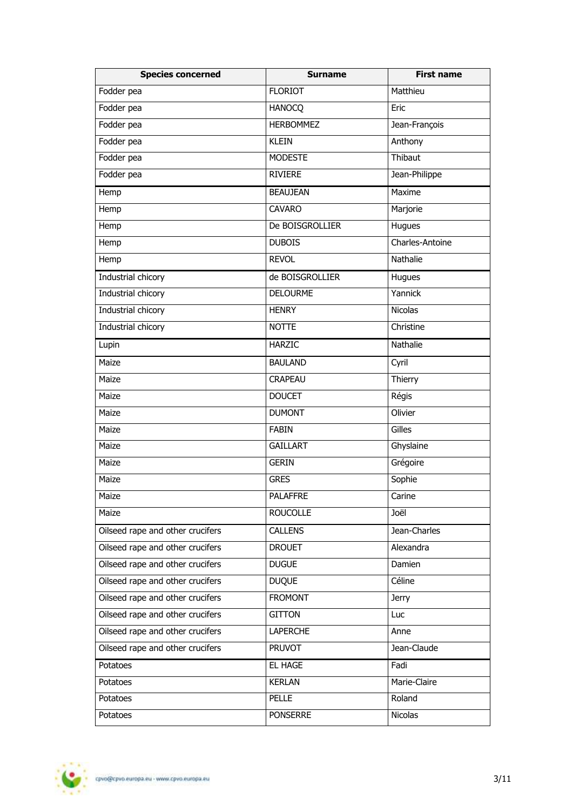| <b>Species concerned</b>         | <b>Surname</b>   | <b>First name</b> |
|----------------------------------|------------------|-------------------|
| Fodder pea                       | <b>FLORIOT</b>   | Matthieu          |
| Fodder pea                       | <b>HANOCQ</b>    | Eric              |
| Fodder pea                       | <b>HERBOMMEZ</b> | Jean-François     |
| Fodder pea                       | <b>KLEIN</b>     | Anthony           |
| Fodder pea                       | <b>MODESTE</b>   | Thibaut           |
| Fodder pea                       | RIVIERE          | Jean-Philippe     |
| Hemp                             | <b>BEAUJEAN</b>  | Maxime            |
| Hemp                             | <b>CAVARO</b>    | Marjorie          |
| Hemp                             | De BOISGROLLIER  | Hugues            |
| Hemp                             | <b>DUBOIS</b>    | Charles-Antoine   |
| Hemp                             | <b>REVOL</b>     | <b>Nathalie</b>   |
| Industrial chicory               | de BOISGROLLIER  | Hugues            |
| Industrial chicory               | <b>DELOURME</b>  | Yannick           |
| Industrial chicory               | <b>HENRY</b>     | Nicolas           |
| Industrial chicory               | <b>NOTTE</b>     | Christine         |
| Lupin                            | <b>HARZIC</b>    | Nathalie          |
| Maize                            | <b>BAULAND</b>   | Cyril             |
| Maize                            | <b>CRAPEAU</b>   | Thierry           |
| Maize                            | <b>DOUCET</b>    | Régis             |
| Maize                            | <b>DUMONT</b>    | Olivier           |
| Maize                            | <b>FABIN</b>     | Gilles            |
| Maize                            | <b>GAILLART</b>  | Ghyslaine         |
| Maize                            | <b>GERIN</b>     | Grégoire          |
| Maize                            | <b>GRES</b>      | Sophie            |
| Maize                            | <b>PALAFFRE</b>  | Carine            |
| Maize                            | <b>ROUCOLLE</b>  | Joël              |
| Oilseed rape and other crucifers | <b>CALLENS</b>   | Jean-Charles      |
| Oilseed rape and other crucifers | <b>DROUET</b>    | Alexandra         |
| Oilseed rape and other crucifers | <b>DUGUE</b>     | Damien            |
| Oilseed rape and other crucifers | <b>DUQUE</b>     | Céline            |
| Oilseed rape and other crucifers | <b>FROMONT</b>   | <b>Jerry</b>      |
| Oilseed rape and other crucifers | <b>GITTON</b>    | Luc               |
| Oilseed rape and other crucifers | <b>LAPERCHE</b>  | Anne              |
| Oilseed rape and other crucifers | <b>PRUVOT</b>    | Jean-Claude       |
| Potatoes                         | EL HAGE          | Fadi              |
| Potatoes                         | <b>KERLAN</b>    | Marie-Claire      |
| Potatoes                         | <b>PELLE</b>     | Roland            |
| Potatoes                         | <b>PONSERRE</b>  | <b>Nicolas</b>    |

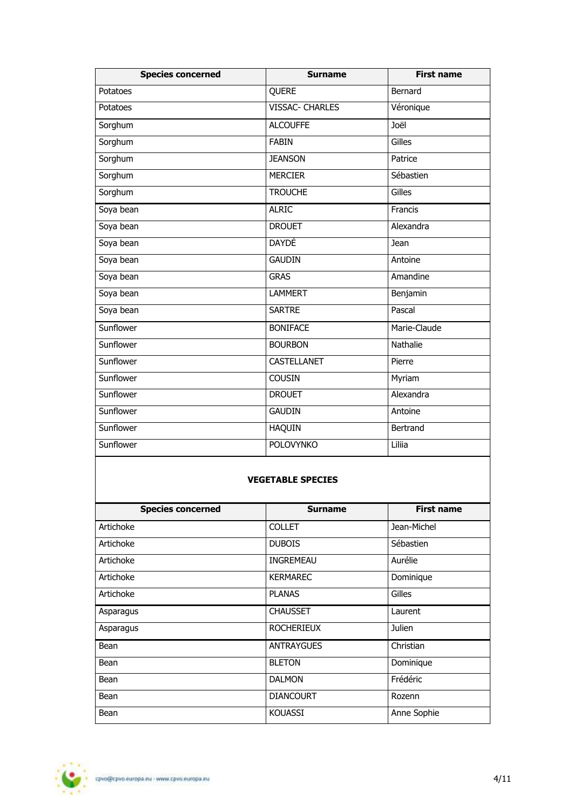| <b>Species concerned</b> | <b>Surname</b>         | <b>First name</b> |
|--------------------------|------------------------|-------------------|
| Potatoes                 | QUERE                  | Bernard           |
| Potatoes                 | <b>VISSAC- CHARLES</b> | Véronique         |
| Sorghum                  | <b>ALCOUFFE</b>        | Joël              |
| Sorghum                  | <b>FABIN</b>           | Gilles            |
| Sorghum                  | <b>JEANSON</b>         | Patrice           |
| Sorghum                  | <b>MERCIER</b>         | Sébastien         |
| Sorghum                  | <b>TROUCHE</b>         | Gilles            |
| Soya bean                | <b>ALRIC</b>           | Francis           |
| Soya bean                | <b>DROUET</b>          | Alexandra         |
| Soya bean                | <b>DAYDÉ</b>           | Jean              |
| Soya bean                | <b>GAUDIN</b>          | Antoine           |
| Soya bean                | <b>GRAS</b>            | Amandine          |
| Soya bean                | <b>LAMMERT</b>         | Benjamin          |
| Soya bean                | <b>SARTRE</b>          | Pascal            |
| Sunflower                | <b>BONIFACE</b>        | Marie-Claude      |
| Sunflower                | <b>BOURBON</b>         | Nathalie          |
| Sunflower                | <b>CASTELLANET</b>     | Pierre            |
| Sunflower                | <b>COUSIN</b>          | Myriam            |
| Sunflower                | <b>DROUET</b>          | Alexandra         |
| Sunflower                | <b>GAUDIN</b>          | Antoine           |
| Sunflower                | <b>HAQUIN</b>          | Bertrand          |
| Sunflower                | <b>POLOVYNKO</b>       | Liliia            |
| <b>VEGETABLE SPECIES</b> |                        |                   |
| <b>Species concerned</b> | <b>Surname</b>         | <b>First name</b> |
| Artichoke                | <b>COLLET</b>          | Jean-Michel       |
| Artichoke                | <b>DUBOIS</b>          | Sébastien         |

| Artichoke | <b>COLLET</b>     | Jean-Michel |
|-----------|-------------------|-------------|
| Artichoke | <b>DUBOIS</b>     | Sébastien   |
| Artichoke | <b>INGREMEAU</b>  | Aurélie     |
| Artichoke | <b>KERMAREC</b>   | Dominique   |
| Artichoke | <b>PLANAS</b>     | Gilles      |
| Asparagus | <b>CHAUSSET</b>   | Laurent     |
| Asparagus | <b>ROCHERIEUX</b> | Julien      |
| Bean      | <b>ANTRAYGUES</b> | Christian   |
| Bean      | <b>BLETON</b>     | Dominique   |
| Bean      | <b>DALMON</b>     | Frédéric    |
| Bean      | <b>DIANCOURT</b>  | Rozenn      |
| Bean      | <b>KOUASSI</b>    | Anne Sophie |

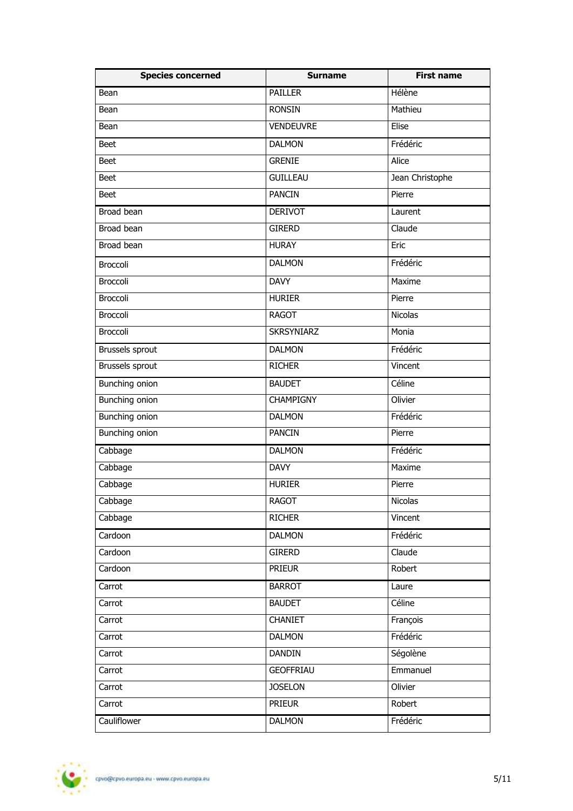| <b>Species concerned</b> | <b>Surname</b>    | <b>First name</b> |
|--------------------------|-------------------|-------------------|
| Bean                     | <b>PAILLER</b>    | Hélène            |
| Bean                     | <b>RONSIN</b>     | Mathieu           |
| Bean                     | <b>VENDEUVRE</b>  | Elise             |
| <b>Beet</b>              | <b>DALMON</b>     | Frédéric          |
| <b>Beet</b>              | <b>GRENIE</b>     | Alice             |
| <b>Beet</b>              | <b>GUILLEAU</b>   | Jean Christophe   |
| <b>Beet</b>              | <b>PANCIN</b>     | Pierre            |
| Broad bean               | <b>DERIVOT</b>    | Laurent           |
| Broad bean               | <b>GIRERD</b>     | Claude            |
| Broad bean               | <b>HURAY</b>      | Eric              |
| Broccoli                 | <b>DALMON</b>     | Frédéric          |
| Broccoli                 | <b>DAVY</b>       | Maxime            |
| Broccoli                 | <b>HURIER</b>     | Pierre            |
| <b>Broccoli</b>          | <b>RAGOT</b>      | <b>Nicolas</b>    |
| Broccoli                 | <b>SKRSYNIARZ</b> | Monia             |
| Brussels sprout          | <b>DALMON</b>     | Frédéric          |
| Brussels sprout          | <b>RICHER</b>     | Vincent           |
| <b>Bunching onion</b>    | <b>BAUDET</b>     | Céline            |
| <b>Bunching onion</b>    | <b>CHAMPIGNY</b>  | Olivier           |
| <b>Bunching onion</b>    | <b>DALMON</b>     | Frédéric          |
| Bunching onion           | <b>PANCIN</b>     | Pierre            |
| Cabbage                  | <b>DALMON</b>     | Frédéric          |
| Cabbage                  | <b>DAVY</b>       | Maxime            |
| Cabbage                  | <b>HURIER</b>     | Pierre            |
| Cabbage                  | <b>RAGOT</b>      | Nicolas           |
| Cabbage                  | <b>RICHER</b>     | Vincent           |
| Cardoon                  | <b>DALMON</b>     | Frédéric          |
| Cardoon                  | <b>GIRERD</b>     | Claude            |
| Cardoon                  | <b>PRIEUR</b>     | Robert            |
| Carrot                   | <b>BARROT</b>     | Laure             |
| Carrot                   | <b>BAUDET</b>     | Céline            |
| Carrot                   | <b>CHANIET</b>    | François          |
| Carrot                   | <b>DALMON</b>     | Frédéric          |
| Carrot                   | <b>DANDIN</b>     | Ségolène          |
| Carrot                   | <b>GEOFFRIAU</b>  | Emmanuel          |
| Carrot                   | <b>JOSELON</b>    | Olivier           |
| Carrot                   | <b>PRIEUR</b>     | Robert            |
| Cauliflower              | <b>DALMON</b>     | Frédéric          |

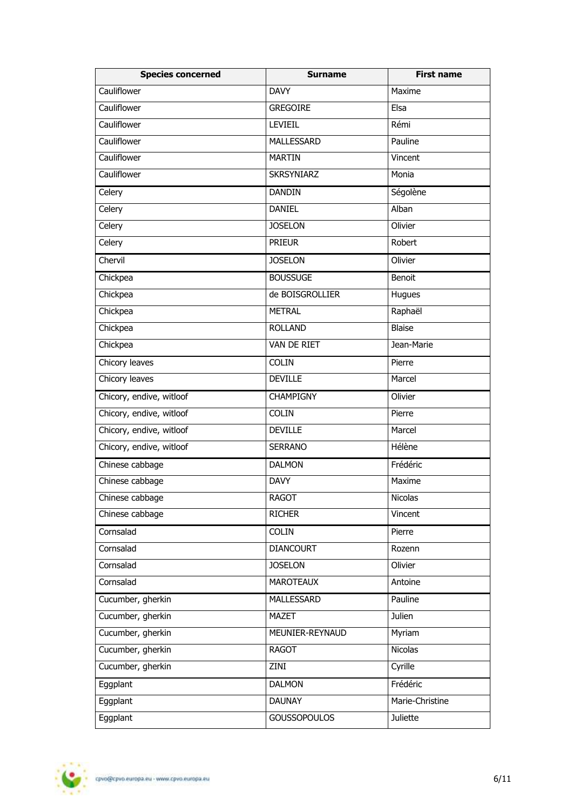| <b>Species concerned</b> | <b>Surname</b>      | <b>First name</b> |
|--------------------------|---------------------|-------------------|
| Cauliflower              | <b>DAVY</b>         | Maxime            |
| Cauliflower              | <b>GREGOIRE</b>     | Elsa              |
| Cauliflower              | <b>LEVIEIL</b>      | Rémi              |
| Cauliflower              | <b>MALLESSARD</b>   | Pauline           |
| Cauliflower              | <b>MARTIN</b>       | Vincent           |
| Cauliflower              | <b>SKRSYNIARZ</b>   | Monia             |
| Celery                   | <b>DANDIN</b>       | Ségolène          |
| Celery                   | <b>DANIEL</b>       | Alban             |
| Celery                   | <b>JOSELON</b>      | Olivier           |
| Celery                   | <b>PRIEUR</b>       | Robert            |
| Chervil                  | <b>JOSELON</b>      | Olivier           |
| Chickpea                 | <b>BOUSSUGE</b>     | Benoit            |
| Chickpea                 | de BOISGROLLIER     | Hugues            |
| Chickpea                 | <b>METRAL</b>       | Raphaël           |
| Chickpea                 | <b>ROLLAND</b>      | <b>Blaise</b>     |
| Chickpea                 | VAN DE RIET         | Jean-Marie        |
| Chicory leaves           | <b>COLIN</b>        | Pierre            |
| Chicory leaves           | <b>DEVILLE</b>      | Marcel            |
| Chicory, endive, witloof | <b>CHAMPIGNY</b>    | Olivier           |
| Chicory, endive, witloof | <b>COLIN</b>        | Pierre            |
| Chicory, endive, witloof | <b>DEVILLE</b>      | Marcel            |
| Chicory, endive, witloof | <b>SERRANO</b>      | Hélène            |
| Chinese cabbage          | <b>DALMON</b>       | Frédéric          |
| Chinese cabbage          | <b>DAVY</b>         | Maxime            |
| Chinese cabbage          | <b>RAGOT</b>        | Nicolas           |
| Chinese cabbage          | <b>RICHER</b>       | Vincent           |
| Cornsalad                | <b>COLIN</b>        | Pierre            |
| Cornsalad                | <b>DIANCOURT</b>    | Rozenn            |
| Cornsalad                | <b>JOSELON</b>      | Olivier           |
| Cornsalad                | <b>MAROTEAUX</b>    | Antoine           |
| Cucumber, gherkin        | MALLESSARD          | Pauline           |
| Cucumber, gherkin        | <b>MAZET</b>        | Julien            |
| Cucumber, gherkin        | MEUNIER-REYNAUD     | Myriam            |
| Cucumber, gherkin        | <b>RAGOT</b>        | Nicolas           |
| Cucumber, gherkin        | ZINI                | Cyrille           |
| Eggplant                 | <b>DALMON</b>       | Frédéric          |
| Eggplant                 | <b>DAUNAY</b>       | Marie-Christine   |
| Eggplant                 | <b>GOUSSOPOULOS</b> | Juliette          |

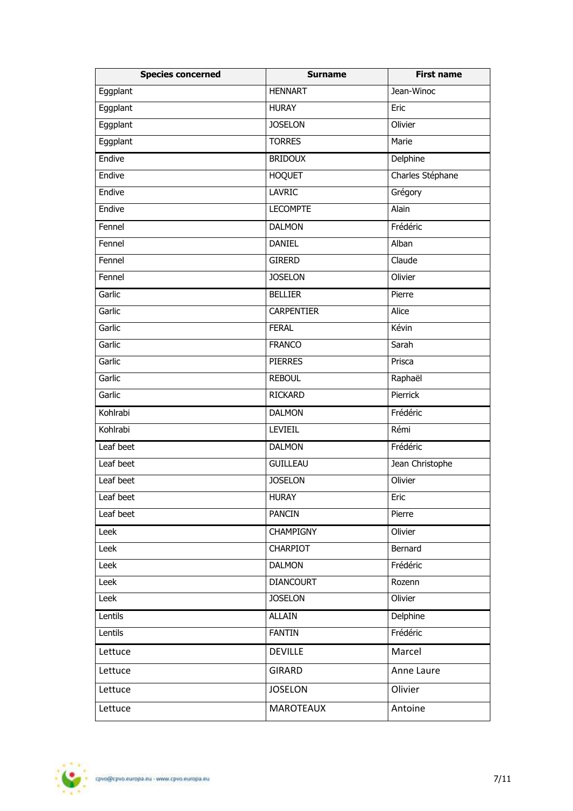| <b>Species concerned</b> | <b>Surname</b>    | <b>First name</b> |
|--------------------------|-------------------|-------------------|
| Eggplant                 | <b>HENNART</b>    | Jean-Winoc        |
| Eggplant                 | <b>HURAY</b>      | Eric              |
| Eggplant                 | <b>JOSELON</b>    | Olivier           |
| Eggplant                 | <b>TORRES</b>     | Marie             |
| Endive                   | <b>BRIDOUX</b>    | Delphine          |
| Endive                   | <b>HOQUET</b>     | Charles Stéphane  |
| Endive                   | <b>LAVRIC</b>     | Grégory           |
| Endive                   | <b>LECOMPTE</b>   | Alain             |
| Fennel                   | <b>DALMON</b>     | Frédéric          |
| Fennel                   | <b>DANIEL</b>     | Alban             |
| Fennel                   | <b>GIRERD</b>     | Claude            |
| Fennel                   | <b>JOSELON</b>    | Olivier           |
| Garlic                   | <b>BELLIER</b>    | Pierre            |
| Garlic                   | <b>CARPENTIER</b> | Alice             |
| Garlic                   | <b>FERAL</b>      | Kévin             |
| Garlic                   | <b>FRANCO</b>     | Sarah             |
| Garlic                   | <b>PIERRES</b>    | Prisca            |
| Garlic                   | <b>REBOUL</b>     | Raphaël           |
| Garlic                   | <b>RICKARD</b>    | Pierrick          |
| Kohlrabi                 | <b>DALMON</b>     | Frédéric          |
| Kohlrabi                 | LEVIEIL           | Rémi              |
| Leaf beet                | <b>DALMON</b>     | Frédéric          |
| Leaf beet                | <b>GUILLEAU</b>   | Jean Christophe   |
| Leaf beet                | <b>JOSELON</b>    | Olivier           |
| Leaf beet                | <b>HURAY</b>      | Eric              |
| Leaf beet                | <b>PANCIN</b>     | Pierre            |
| Leek                     | <b>CHAMPIGNY</b>  | Olivier           |
| Leek                     | <b>CHARPIOT</b>   | Bernard           |
| Leek                     | <b>DALMON</b>     | Frédéric          |
| Leek                     | <b>DIANCOURT</b>  | Rozenn            |
| Leek                     | <b>JOSELON</b>    | Olivier           |
| Lentils                  | <b>ALLAIN</b>     | Delphine          |
| Lentils                  | <b>FANTIN</b>     | Frédéric          |
| Lettuce                  | <b>DEVILLE</b>    | Marcel            |
| Lettuce                  | <b>GIRARD</b>     | Anne Laure        |
| Lettuce                  | <b>JOSELON</b>    | Olivier           |
| Lettuce                  | MAROTEAUX         | Antoine           |

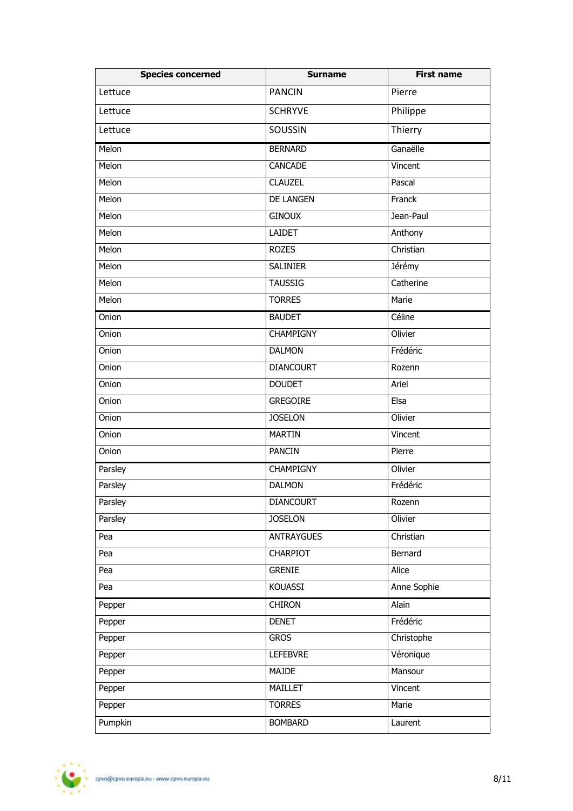| <b>Species concerned</b> | <b>Surname</b>    | <b>First name</b> |
|--------------------------|-------------------|-------------------|
| Lettuce                  | <b>PANCIN</b>     | Pierre            |
| Lettuce                  | <b>SCHRYVE</b>    | Philippe          |
| Lettuce                  | <b>SOUSSIN</b>    | Thierry           |
| Melon                    | <b>BERNARD</b>    | Ganaëlle          |
| Melon                    | CANCADE           | Vincent           |
| Melon                    | <b>CLAUZEL</b>    | Pascal            |
| Melon                    | <b>DE LANGEN</b>  | Franck            |
| Melon                    | <b>GINOUX</b>     | Jean-Paul         |
| Melon                    | <b>LAIDET</b>     | Anthony           |
| Melon                    | <b>ROZES</b>      | Christian         |
| Melon                    | <b>SALINIER</b>   | Jérémy            |
| Melon                    | <b>TAUSSIG</b>    | Catherine         |
| Melon                    | <b>TORRES</b>     | Marie             |
| Onion                    | <b>BAUDET</b>     | Céline            |
| Onion                    | <b>CHAMPIGNY</b>  | Olivier           |
| Onion                    | <b>DALMON</b>     | Frédéric          |
| Onion                    | <b>DIANCOURT</b>  | Rozenn            |
| Onion                    | <b>DOUDET</b>     | Ariel             |
| Onion                    | <b>GREGOIRE</b>   | Elsa              |
| Onion                    | <b>JOSELON</b>    | Olivier           |
| Onion                    | <b>MARTIN</b>     | Vincent           |
| Onion                    | <b>PANCIN</b>     | Pierre            |
| Parsley                  | <b>CHAMPIGNY</b>  | Olivier           |
| Parsley                  | <b>DALMON</b>     | Frédéric          |
| Parsley                  | <b>DIANCOURT</b>  | Rozenn            |
| Parsley                  | <b>JOSELON</b>    | Olivier           |
| Pea                      | <b>ANTRAYGUES</b> | Christian         |
| Pea                      | CHARPIOT          | Bernard           |
| Pea                      | <b>GRENIE</b>     | Alice             |
| Pea                      | KOUASSI           | Anne Sophie       |
| Pepper                   | <b>CHIRON</b>     | Alain             |
| Pepper                   | <b>DENET</b>      | Frédéric          |
| Pepper                   | <b>GROS</b>       | Christophe        |
| Pepper                   | <b>LEFEBVRE</b>   | Véronique         |
| Pepper                   | MAJDE             | Mansour           |
| Pepper                   | MAILLET           | Vincent           |
| Pepper                   | <b>TORRES</b>     | Marie             |
| Pumpkin                  | <b>BOMBARD</b>    | Laurent           |

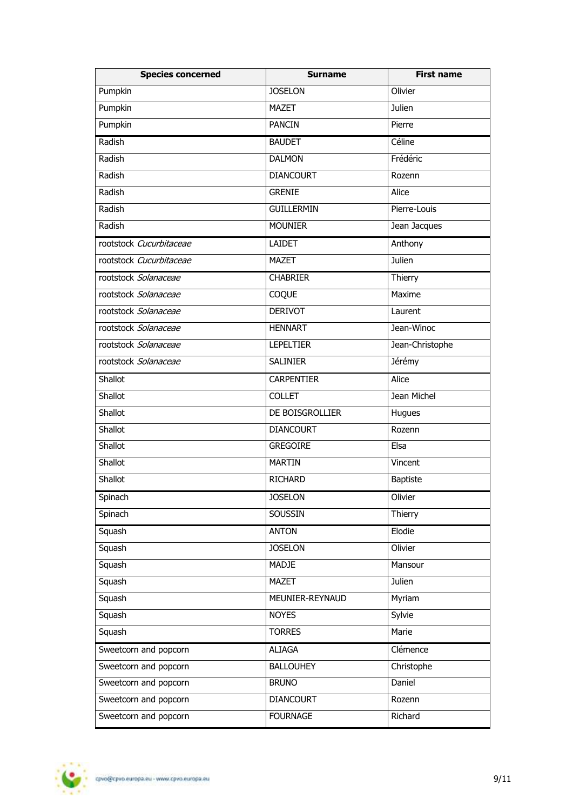| <b>Species concerned</b> | <b>Surname</b>    | <b>First name</b> |
|--------------------------|-------------------|-------------------|
| Pumpkin                  | <b>JOSELON</b>    | Olivier           |
| Pumpkin                  | <b>MAZET</b>      | Julien            |
| Pumpkin                  | <b>PANCIN</b>     | Pierre            |
| Radish                   | <b>BAUDET</b>     | Céline            |
| Radish                   | <b>DALMON</b>     | Frédéric          |
| Radish                   | <b>DIANCOURT</b>  | Rozenn            |
| Radish                   | <b>GRENIE</b>     | Alice             |
| Radish                   | <b>GUILLERMIN</b> | Pierre-Louis      |
| Radish                   | <b>MOUNIER</b>    | Jean Jacques      |
| rootstock Cucurbitaceae  | <b>LAIDET</b>     | Anthony           |
| rootstock Cucurbitaceae  | <b>MAZET</b>      | Julien            |
| rootstock Solanaceae     | <b>CHABRIER</b>   | Thierry           |
| rootstock Solanaceae     | COQUE             | Maxime            |
| rootstock Solanaceae     | <b>DERIVOT</b>    | Laurent           |
| rootstock Solanaceae     | <b>HENNART</b>    | Jean-Winoc        |
| rootstock Solanaceae     | <b>LEPELTIER</b>  | Jean-Christophe   |
| rootstock Solanaceae     | <b>SALINIER</b>   | Jérémy            |
| <b>Shallot</b>           | <b>CARPENTIER</b> | Alice             |
| <b>Shallot</b>           | <b>COLLET</b>     | Jean Michel       |
| Shallot                  | DE BOISGROLLIER   | Hugues            |
| Shallot                  | <b>DIANCOURT</b>  | Rozenn            |
| Shallot                  | <b>GREGOIRE</b>   | Elsa              |
| Shallot                  | <b>MARTIN</b>     | Vincent           |
| Shallot                  | <b>RICHARD</b>    | <b>Baptiste</b>   |
| Spinach                  | <b>JOSELON</b>    | Olivier           |
| Spinach                  | SOUSSIN           | Thierry           |
| Squash                   | <b>ANTON</b>      | Elodie            |
| Squash                   | <b>JOSELON</b>    | Olivier           |
| Squash                   | <b>MADJE</b>      | Mansour           |
| Squash                   | <b>MAZET</b>      | Julien            |
| Squash                   | MEUNIER-REYNAUD   | Myriam            |
| Squash                   | <b>NOYES</b>      | Sylvie            |
| Squash                   | <b>TORRES</b>     | Marie             |
| Sweetcorn and popcorn    | <b>ALIAGA</b>     | Clémence          |
| Sweetcorn and popcorn    | <b>BALLOUHEY</b>  | Christophe        |
| Sweetcorn and popcorn    | <b>BRUNO</b>      | Daniel            |
| Sweetcorn and popcorn    | <b>DIANCOURT</b>  | Rozenn            |
| Sweetcorn and popcorn    | <b>FOURNAGE</b>   | Richard           |

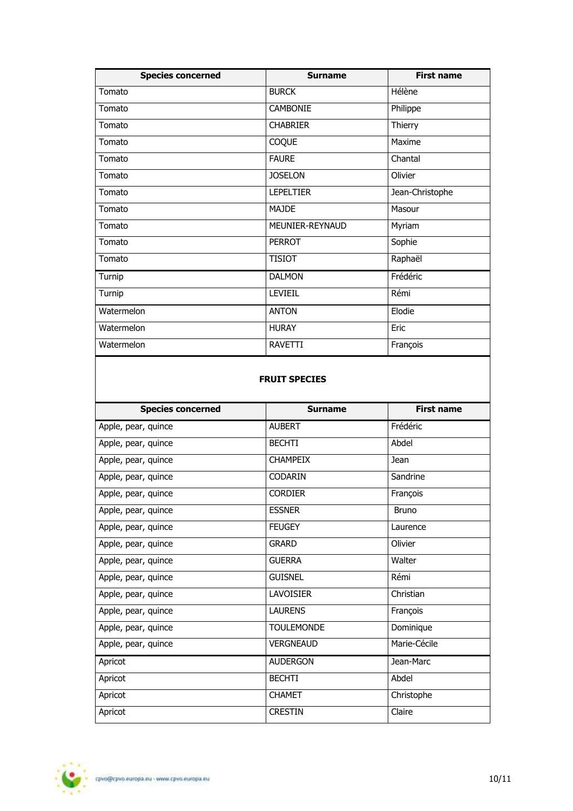| <b>Species concerned</b> | <b>Surname</b>   | <b>First name</b> |
|--------------------------|------------------|-------------------|
| Tomato                   | <b>BURCK</b>     | Hélène            |
| Tomato                   | <b>CAMBONIE</b>  | Philippe          |
| Tomato                   | <b>CHABRIER</b>  | Thierry           |
| Tomato                   | COQUE            | Maxime            |
| Tomato                   | <b>FAURE</b>     | Chantal           |
| Tomato                   | <b>JOSELON</b>   | Olivier           |
| Tomato                   | <b>LEPELTIER</b> | Jean-Christophe   |
| Tomato                   | <b>MAJDE</b>     | Masour            |
| Tomato                   | MEUNIER-REYNAUD  | Myriam            |
| Tomato                   | <b>PERROT</b>    | Sophie            |
| Tomato                   | <b>TISIOT</b>    | Raphaël           |
| Turnip                   | <b>DALMON</b>    | Frédéric          |
| Turnip                   | <b>LEVIEIL</b>   | Rémi              |
| Watermelon               | <b>ANTON</b>     | Elodie            |
| Watermelon               | <b>HURAY</b>     | Eric              |
| Watermelon               | <b>RAVETTI</b>   | François          |

## **FRUIT SPECIES**

| <b>Species concerned</b> | Surname           | <b>First name</b> |
|--------------------------|-------------------|-------------------|
| Apple, pear, quince      | <b>AUBERT</b>     | Frédéric          |
| Apple, pear, quince      | <b>BECHTI</b>     | Abdel             |
| Apple, pear, quince      | <b>CHAMPEIX</b>   | Jean              |
| Apple, pear, quince      | <b>CODARIN</b>    | Sandrine          |
| Apple, pear, quince      | <b>CORDIER</b>    | François          |
| Apple, pear, quince      | <b>ESSNER</b>     | <b>Bruno</b>      |
| Apple, pear, quince      | <b>FEUGEY</b>     | Laurence          |
| Apple, pear, quince      | <b>GRARD</b>      | Olivier           |
| Apple, pear, quince      | <b>GUERRA</b>     | Walter            |
| Apple, pear, quince      | <b>GUISNEL</b>    | Rémi              |
| Apple, pear, quince      | LAVOISIER         | Christian         |
| Apple, pear, quince      | <b>LAURENS</b>    | François          |
| Apple, pear, quince      | <b>TOULEMONDE</b> | Dominique         |
| Apple, pear, quince      | <b>VERGNEAUD</b>  | Marie-Cécile      |
| Apricot                  | <b>AUDERGON</b>   | Jean-Marc         |
| Apricot                  | <b>BECHTI</b>     | Abdel             |
| Apricot                  | <b>CHAMET</b>     | Christophe        |
| Apricot                  | <b>CRESTIN</b>    | Claire            |